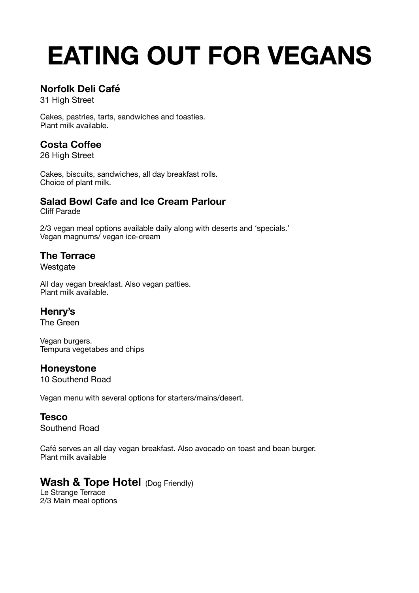# **EATING OUT FOR VEGANS**

## **Norfolk Deli Café**

31 High Street

Cakes, pastries, tarts, sandwiches and toasties. Plant milk available.

## **Costa Coffee**

26 High Street

Cakes, biscuits, sandwiches, all day breakfast rolls. Choice of plant milk.

## **Salad Bowl Cafe and Ice Cream Parlour**

Cliff Parade

2/3 vegan meal options available daily along with deserts and 'specials.' Vegan magnums/ vegan ice-cream

## **The Terrace**

Westgate

All day vegan breakfast. Also vegan patties. Plant milk available.

### **Henry's**

The Green

Vegan burgers. Tempura vegetabes and chips

#### **Honeystone**

10 Southend Road

Vegan menu with several options for starters/mains/desert.

#### **Tesco**

Southend Road

Café serves an all day vegan breakfast. Also avocado on toast and bean burger. Plant milk available

## **Wash & Tope Hotel** (Dog Friendly)

Le Strange Terrace 2/3 Main meal options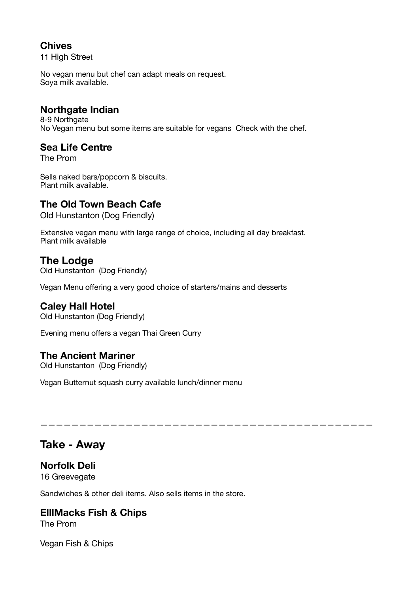### **Chives**

11 High Street

No vegan menu but chef can adapt meals on request. Soya milk available.

#### **Northgate Indian**

8-9 Northgate No Vegan menu but some items are suitable for vegans Check with the chef.

#### **Sea Life Centre**

The Prom

Sells naked bars/popcorn & biscuits. Plant milk available.

#### **The Old Town Beach Cafe**

Old Hunstanton (Dog Friendly)

Extensive vegan menu with large range of choice, including all day breakfast. Plant milk available

#### **The Lodge**

Old Hunstanton (Dog Friendly)

Vegan Menu offering a very good choice of starters/mains and desserts

———————————————————————————————————————————

#### **Caley Hall Hotel**

Old Hunstanton (Dog Friendly)

Evening menu offers a vegan Thai Green Curry

#### **The Ancient Mariner**

Old Hunstanton (Dog Friendly)

Vegan Butternut squash curry available lunch/dinner menu

## **Take - Away**

**Norfolk Deli**  16 Greevegate

Sandwiches & other deli items. Also sells items in the store.

### **ElllMacks Fish & Chips**

The Prom

Vegan Fish & Chips